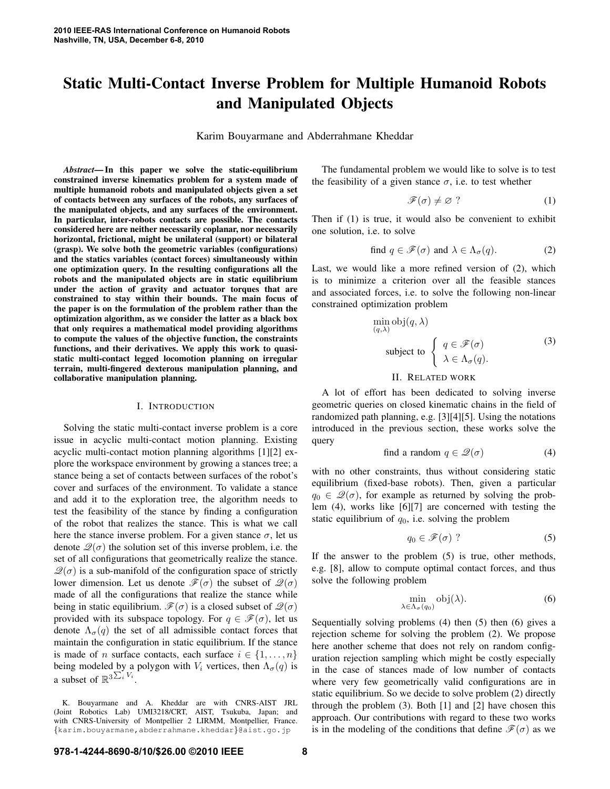# **Static Multi-Contact Inverse Problem for Multiple Humanoid Robots and Manipulated Objects**

Karim Bouyarmane and Abderrahmane Kheddar

*Abstract***—In this paper we solve the static-equilibrium constrained inverse kinematics problem for a system made of multiple humanoid robots and manipulated objects given a set of contacts between any surfaces of the robots, any surfaces of the manipulated objects, and any surfaces of the environment. In particular, inter-robots contacts are possible. The contacts considered here are neither necessarily coplanar, nor necessarily horizontal, frictional, might be unilateral (support) or bilateral (grasp). We solve both the geometric variables (configurations) and the statics variables (contact forces) simultaneously within one optimization query. In the resulting configurations all the robots and the manipulated objects are in static equilibrium under the action of gravity and actuator torques that are constrained to stay within their bounds. The main focus of the paper is on the formulation of the problem rather than the optimization algorithm, as we consider the latter as a black box that only requires a mathematical model providing algorithms to compute the values of the objective function, the constraints functions, and their derivatives. We apply this work to quasistatic multi-contact legged locomotion planning on irregular terrain, multi-fingered dexterous manipulation planning, and collaborative manipulation planning.**

## I. INTRODUCTION

Solving the static multi-contact inverse problem is a core issue in acyclic multi-contact motion planning. Existing acyclic multi-contact motion planning algorithms [1][2] explore the workspace environment by growing a stances tree; a stance being a set of contacts between surfaces of the robot's cover and surfaces of the environment. To validate a stance and add it to the exploration tree, the algorithm needs to test the feasibility of the stance by finding a configuration of the robot that realizes the stance. This is what we call here the stance inverse problem. For a given stance  $\sigma$ , let us denote  $\mathcal{Q}(\sigma)$  the solution set of this inverse problem, i.e. the set of all configurations that geometrically realize the stance.  $\mathcal{Q}(\sigma)$  is a sub-manifold of the configuration space of strictly lower dimension. Let us denote  $\mathscr{F}(\sigma)$  the subset of  $\mathscr{Q}(\sigma)$ made of all the configurations that realize the stance while being in static equilibrium.  $\mathscr{F}(\sigma)$  is a closed subset of  $\mathscr{Q}(\sigma)$ provided with its subspace topology. For  $q \in \mathcal{F}(\sigma)$ , let us denote  $\Lambda_{\sigma}(q)$  the set of all admissible contact forces that maintain the configuration in static equilibrium. If the stance is made of n surface contacts, each surface  $i \in \{1, \ldots, n\}$ being modeled by a polygon with  $V_i$  vertices, then  $\Lambda_{\sigma}(q)$  is a subset of  $\mathbb{R}^{3\sum_{i}V_i}$ .

K. Bouyarmane and A. Kheddar are with CNRS-AIST JRL (Joint Robotics Lab) UMI3218/CRT, AIST, Tsukuba, Japan; and with CNRS-University of Montpellier 2 LIRMM, Montpellier, France. {karim.bouyarmane,abderrahmane.kheddar}@aist.go.jp

The fundamental problem we would like to solve is to test the feasibility of a given stance  $\sigma$ , i.e. to test whether

$$
\mathscr{F}(\sigma) \neq \varnothing \tag{1}
$$

Then if (1) is true, it would also be convenient to exhibit one solution, i.e. to solve

find 
$$
q \in \mathscr{F}(\sigma)
$$
 and  $\lambda \in \Lambda_{\sigma}(q)$ . (2)

Last, we would like a more refined version of (2), which is to minimize a criterion over all the feasible stances and associated forces, i.e. to solve the following non-linear constrained optimization problem

$$
\min_{(q,\lambda)} \text{obj}(q,\lambda) \n\text{subject to } \begin{cases} q \in \mathcal{F}(\sigma) & (3) \\ \lambda \in \Lambda_{\sigma}(q). \end{cases}
$$

#### II. RELATED WORK

A lot of effort has been dedicated to solving inverse geometric queries on closed kinematic chains in the field of randomized path planning, e.g. [3][4][5]. Using the notations introduced in the previous section, these works solve the query

find a random 
$$
q \in \mathcal{Q}(\sigma)
$$
 (4)

with no other constraints, thus without considering static equilibrium (fixed-base robots). Then, given a particular  $q_0 \in \mathcal{Q}(\sigma)$ , for example as returned by solving the problem (4), works like [6][7] are concerned with testing the static equilibrium of  $q_0$ , i.e. solving the problem

$$
q_0 \in \mathscr{F}(\sigma) ? \tag{5}
$$

If the answer to the problem (5) is true, other methods, e.g. [8], allow to compute optimal contact forces, and thus solve the following problem

$$
\min_{\lambda \in \Lambda_{\sigma}(q_0)} \text{obj}(\lambda). \tag{6}
$$

Sequentially solving problems (4) then (5) then (6) gives a rejection scheme for solving the problem (2). We propose here another scheme that does not rely on random configuration rejection sampling which might be costly especially in the case of stances made of low number of contacts where very few geometrically valid configurations are in static equilibrium. So we decide to solve problem (2) directly through the problem (3). Both [1] and [2] have chosen this approach. Our contributions with regard to these two works is in the modeling of the conditions that define  $\mathcal{F}(\sigma)$  as we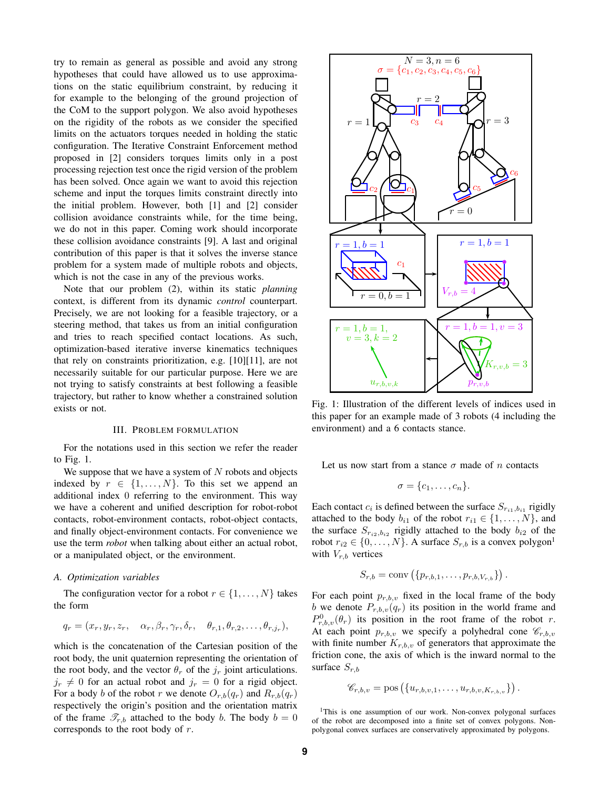try to remain as general as possible and avoid any strong hypotheses that could have allowed us to use approximations on the static equilibrium constraint, by reducing it for example to the belonging of the ground projection of the CoM to the support polygon. We also avoid hypotheses on the rigidity of the robots as we consider the specified limits on the actuators torques needed in holding the static configuration. The Iterative Constraint Enforcement method proposed in [2] considers torques limits only in a post processing rejection test once the rigid version of the problem has been solved. Once again we want to avoid this rejection scheme and input the torques limits constraint directly into the initial problem. However, both [1] and [2] consider collision avoidance constraints while, for the time being, we do not in this paper. Coming work should incorporate these collision avoidance constraints [9]. A last and original contribution of this paper is that it solves the inverse stance problem for a system made of multiple robots and objects, which is not the case in any of the previous works.

Note that our problem (2), within its static *planning* context, is different from its dynamic *control* counterpart. Precisely, we are not looking for a feasible trajectory, or a steering method, that takes us from an initial configuration and tries to reach specified contact locations. As such, optimization-based iterative inverse kinematics techniques that rely on constraints prioritization, e.g. [10][11], are not necessarily suitable for our particular purpose. Here we are not trying to satisfy constraints at best following a feasible trajectory, but rather to know whether a constrained solution exists or not.

#### III. PROBLEM FORMULATION

For the notations used in this section we refer the reader to Fig. 1.

We suppose that we have a system of  $N$  robots and objects indexed by  $r \in \{1, \ldots, N\}$ . To this set we append an additional index 0 referring to the environment. This way we have a coherent and unified description for robot-robot contacts, robot-environment contacts, robot-object contacts, and finally object-environment contacts. For convenience we use the term *robot* when talking about either an actual robot, or a manipulated object, or the environment.

#### *A. Optimization variables*

The configuration vector for a robot  $r \in \{1, \ldots, N\}$  takes the form

$$
q_r = (x_r, y_r, z_r, \alpha_r, \beta_r, \gamma_r, \delta_r, \theta_{r,1}, \theta_{r,2}, \ldots, \theta_{r,j_r}),
$$

which is the concatenation of the Cartesian position of the root body, the unit quaternion representing the orientation of the root body, and the vector  $\theta_r$  of the  $j_r$  joint articulations.  $j_r \neq 0$  for an actual robot and  $j_r = 0$  for a rigid object. For a body b of the robot r we denote  $O_{r,b}(q_r)$  and  $R_{r,b}(q_r)$ respectively the origin's position and the orientation matrix of the frame  $\mathcal{T}_{r,b}$  attached to the body b. The body  $b = 0$ corresponds to the root body of r.



Fig. 1: Illustration of the different levels of indices used in this paper for an example made of 3 robots (4 including the environment) and a 6 contacts stance.

Let us now start from a stance  $\sigma$  made of n contacts

$$
\sigma = \{c_1, \ldots, c_n\}.
$$

Each contact  $c_i$  is defined between the surface  $S_{r_{i1},b_{i1}}$  rigidly attached to the body  $b_{i1}$  of the robot  $r_{i1} \in \{1, \ldots, N\}$ , and the surface  $S_{r_{i2},b_{i2}}$  rigidly attached to the body  $b_{i2}$  of the robot  $r_{i2} \in \{0, \ldots, N\}$ . A surface  $S_{r,b}$  is a convex polygon<sup>1</sup> with  $V_{r,b}$  vertices

$$
S_{r,b} = \text{conv}\left(\{p_{r,b,1},\ldots,p_{r,b,V_{r,b}}\}\right).
$$

For each point  $p_{r,b,v}$  fixed in the local frame of the body b we denote  $P_{r,b,\nu}(q_r)$  its position in the world frame and  $P_{r,b,\nu}^{0}(\theta_r)$  its position in the root frame of the robot r. At each point  $p_{r,b,v}$  we specify a polyhedral cone  $\mathscr{C}_{r,b,v}$ with finite number  $K_{r,b,v}$  of generators that approximate the friction cone, the axis of which is the inward normal to the surface  $S_{r,b}$ 

$$
\mathscr{C}_{r,b,v} = \text{pos}\left(\{u_{r,b,v,1},\ldots,u_{r,b,v,K_{r,b,v}}\}\right).
$$

<sup>1</sup>This is one assumption of our work. Non-convex polygonal surfaces of the robot are decomposed into a finite set of convex polygons. Nonpolygonal convex surfaces are conservatively approximated by polygons.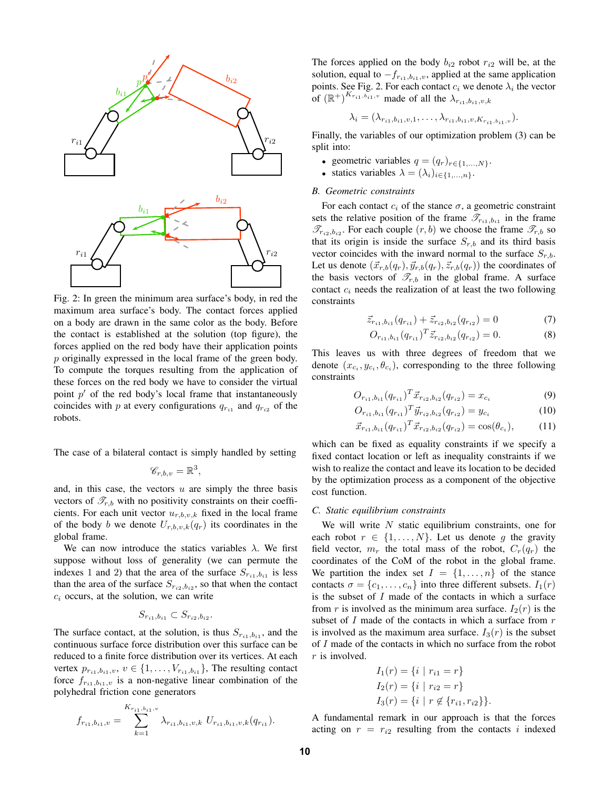

Fig. 2: In green the minimum area surface's body, in red the maximum area surface's body. The contact forces applied on a body are drawn in the same color as the body. Before the contact is established at the solution (top figure), the forces applied on the red body have their application points p originally expressed in the local frame of the green body. To compute the torques resulting from the application of these forces on the red body we have to consider the virtual point  $p'$  of the red body's local frame that instantaneously coincides with p at every configurations  $q_{r_{i1}}$  and  $q_{r_{i2}}$  of the robots.

The case of a bilateral contact is simply handled by setting

$$
\mathscr{C}_{r,b,v} = \mathbb{R}^3,
$$

and, in this case, the vectors  $u$  are simply the three basis vectors of  $\mathcal{T}_{r,b}$  with no positivity constraints on their coefficients. For each unit vector  $u_{r,b,v,k}$  fixed in the local frame of the body b we denote  $U_{r,b,v,k}(q_r)$  its coordinates in the global frame.

We can now introduce the statics variables  $\lambda$ . We first suppose without loss of generality (we can permute the indexes 1 and 2) that the area of the surface  $S_{r_{i1},b_{i1}}$  is less than the area of the surface  $S_{r_{i2},b_{i2}}$ , so that when the contact  $c_i$  occurs, at the solution, we can write

$$
S_{r_{i1},b_{i1}} \subset S_{r_{i2},b_{i2}}.
$$

The surface contact, at the solution, is thus  $S_{r_{i1},b_{i1}}$ , and the continuous surface force distribution over this surface can be reduced to a finite force distribution over its vertices. At each vertex  $p_{r_{i1},b_{i1},v}, v \in \{1, \ldots, V_{r_{i1},b_{i1}}\}$ , The resulting contact force  $f_{r_{i1},b_{i1},v}$  is a non-negative linear combination of the polyhedral friction cone generators

$$
f_{r_{i1},b_{i1},v} = \sum_{k=1}^{K_{r_{i1},b_{i1},v}} \lambda_{r_{i1},b_{i1},v,k} U_{r_{i1},b_{i1},v,k}(q_{r_{i1}}).
$$

The forces applied on the body  $b_{i2}$  robot  $r_{i2}$  will be, at the solution, equal to  $-f_{r_{i1},b_{i1},v}$ , applied at the same application points. See Fig. 2. For each contact  $c_i$  we denote  $\lambda_i$  the vector of  $(\mathbb{R}^+)^{K_{r_{i1},b_{i1},v}}$  made of all the  $\lambda_{r_{i1},b_{i1},v,k}$ 

$$
\lambda_i = (\lambda_{r_{i1},b_{i1},v,1},\ldots,\lambda_{r_{i1},b_{i1},v,K_{r_{i1},b_{i1},v}}).
$$

Finally, the variables of our optimization problem (3) can be split into:

- geometric variables  $q = (q_r)_{r \in \{1,...,N\}}$ .
- statics variables  $\lambda = (\lambda_i)_{i \in \{1,...,n\}}$ .

# *B. Geometric constraints*

For each contact  $c_i$  of the stance  $\sigma$ , a geometric constraint sets the relative position of the frame  $\overline{\mathscr{T}}_{r_{i1},b_{i1}}$  in the frame  $\mathscr{T}_{r_{i2},b_{i2}}$ . For each couple  $(r,b)$  we choose the frame  $\mathscr{T}_{r,b}$  so that its origin is inside the surface  $S_{r,b}$  and its third basis vector coincides with the inward normal to the surface  $S_{r,b}$ . Let us denote  $(\vec{x}_{r,b}(q_r), \vec{y}_{r,b}(q_r), \vec{z}_{r,b}(q_r))$  the coordinates of the basis vectors of  $\mathcal{T}_{r,b}$  in the global frame. A surface contact  $c_i$  needs the realization of at least the two following constraints

$$
\vec{z}_{r_{i1},b_{i1}}(q_{r_{i1}}) + \vec{z}_{r_{i2},b_{i2}}(q_{r_{i2}}) = 0 \tag{7}
$$

$$
O_{r_{i1},b_{i1}}(q_{r_{i1}})^T \vec{z}_{r_{i2},b_{i2}}(q_{r_{i2}}) = 0.
$$
 (8)

This leaves us with three degrees of freedom that we denote  $(x_{c_i}, y_{c_i}, \theta_{c_i})$ , corresponding to the three following constraints

$$
O_{r_{i1},b_{i1}}(q_{r_{i1}})^T \vec{x}_{r_{i2},b_{i2}}(q_{r_{i2}}) = x_{c_i}
$$
\n
$$
(9)
$$

$$
O_{r_{i1},b_{i1}}(q_{r_{i1}})^T \vec{y}_{r_{i2},b_{i2}}(q_{r_{i2}}) = y_{c_i}
$$
 (10)

$$
\vec{x}_{r_{i1},b_{i1}}(q_{r_{i1}})^T \vec{x}_{r_{i2},b_{i2}}(q_{r_{i2}}) = \cos(\theta_{c_i}),\tag{11}
$$

which can be fixed as equality constraints if we specify a fixed contact location or left as inequality constraints if we wish to realize the contact and leave its location to be decided by the optimization process as a component of the objective cost function.

# *C. Static equilibrium constraints*

We will write  $N$  static equilibrium constraints, one for each robot  $r \in \{1, \ldots, N\}$ . Let us denote g the gravity field vector,  $m_r$  the total mass of the robot,  $C_r(q_r)$  the coordinates of the CoM of the robot in the global frame. We partition the index set  $I = \{1, \ldots, n\}$  of the stance contacts  $\sigma = \{c_1, \ldots, c_n\}$  into three different subsets.  $I_1(r)$ is the subset of  $I$  made of the contacts in which a surface from r is involved as the minimum area surface.  $I_2(r)$  is the subset of  $I$  made of the contacts in which a surface from  $r$ is involved as the maximum area surface.  $I_3(r)$  is the subset of I made of the contacts in which no surface from the robot  $r$  is involved.

$$
I_1(r) = \{i \mid r_{i1} = r\}
$$
  
\n
$$
I_2(r) = \{i \mid r_{i2} = r\}
$$
  
\n
$$
I_3(r) = \{i \mid r \notin \{r_{i1}, r_{i2}\}\}.
$$

A fundamental remark in our approach is that the forces acting on  $r = r_{i2}$  resulting from the contacts i indexed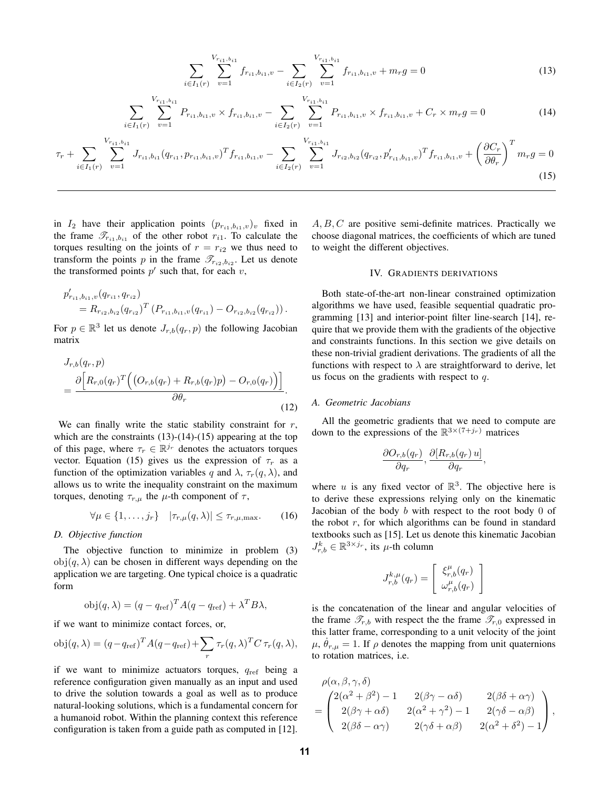$$
\sum_{i \in I_1(r)} \sum_{v=1}^{V_{r_{i1},b_{i1}}} f_{r_{i1},b_{i1},v} - \sum_{i \in I_2(r)} \sum_{v=1}^{V_{r_{i1},b_{i1}}} f_{r_{i1},b_{i1},v} + m_r g = 0 \tag{13}
$$

$$
\sum_{i \in I_1(r)} \sum_{v=1}^{V_{r_{i1},b_{i1}}} P_{r_{i1},b_{i1},v} \times f_{r_{i1},b_{i1},v} - \sum_{i \in I_2(r)} \sum_{v=1}^{V_{r_{i1},b_{i1}}} P_{r_{i1},b_{i1},v} \times f_{r_{i1},b_{i1},v} + C_r \times m_r g = 0 \tag{14}
$$

$$
\tau_r + \sum_{i \in I_1(r)} \sum_{v=1}^{V_{r_{i1},b_{i1}}} J_{r_{i1},b_{i1}}(q_{r_{i1}}, p_{r_{i1},b_{i1},v})^T f_{r_{i1},b_{i1},v} - \sum_{i \in I_2(r)} \sum_{v=1}^{V_{r_{i1},b_{i1}}} J_{r_{i2},b_{i2}}(q_{r_{i2}}, p'_{r_{i1},b_{i1},v})^T f_{r_{i1},b_{i1},v} + \left(\frac{\partial C_r}{\partial \theta_r}\right)^T m_r g = 0
$$
\n(15)

in  $I_2$  have their application points  $(p_{r_{i1},b_{i1},v})_v$  fixed in the frame  $\mathscr{T}_{r_{i1},b_{i1}}$  of the other robot  $r_{i1}$ . To calculate the torques resulting on the joints of  $r = r_{i2}$  we thus need to transform the points p in the frame  $\mathcal{T}_{r_2, b_{i2}}$ . Let us denote the transformed points  $p'$  such that, for each  $v$ ,

$$
p'_{r_{i1},b_{i1},v}(q_{r_{i1}},q_{r_{i2}})
$$
  
=  $R_{r_{i2},b_{i2}}(q_{r_{i2}})^T (P_{r_{i1},b_{i1},v}(q_{r_{i1}}) - O_{r_{i2},b_{i2}}(q_{r_{i2}})).$ 

For  $p \in \mathbb{R}^3$  let us denote  $J_{r,b}(q_r, p)$  the following Jacobian matrix

$$
J_{r,b}(q_r, p)
$$
  
= 
$$
\frac{\partial \left[R_{r,0}(q_r)^T \Big((O_{r,b}(q_r) + R_{r,b}(q_r)p) - O_{r,0}(q_r)\Big)\right]}{\partial \theta_r}.
$$
 (12)

We can finally write the static stability constraint for  $r$ , which are the constraints  $(13)-(14)-(15)$  appearing at the top of this page, where  $\tau_r \in \mathbb{R}^{j_r}$  denotes the actuators torques vector. Equation (15) gives us the expression of  $\tau_r$  as a function of the optimization variables q and  $\lambda$ ,  $\tau_r(q, \lambda)$ , and allows us to write the inequality constraint on the maximum torques, denoting  $\tau_{r,\mu}$  the  $\mu$ -th component of  $\tau$ ,

$$
\forall \mu \in \{1, \ldots, j_r\} \quad |\tau_{r,\mu}(q,\lambda)| \leq \tau_{r,\mu,\max}.\tag{16}
$$

#### *D. Objective function*

The objective function to minimize in problem (3)  $obj(q, \lambda)$  can be chosen in different ways depending on the application we are targeting. One typical choice is a quadratic form

$$
obj(q, \lambda) = (q - q_{ref})^{T} A(q - q_{ref}) + \lambda^{T} B\lambda,
$$

if we want to minimize contact forces, or,

$$
obj(q, \lambda) = (q - q_{ref})^T A(q - q_{ref}) + \sum_r \tau_r(q, \lambda)^T C \tau_r(q, \lambda),
$$

if we want to minimize actuators torques,  $q_{ref}$  being a reference configuration given manually as an input and used to drive the solution towards a goal as well as to produce natural-looking solutions, which is a fundamental concern for a humanoid robot. Within the planning context this reference configuration is taken from a guide path as computed in [12].  $A, B, C$  are positive semi-definite matrices. Practically we choose diagonal matrices, the coefficients of which are tuned to weight the different objectives.

## IV. GRADIENTS DERIVATIONS

Both state-of-the-art non-linear constrained optimization algorithms we have used, feasible sequential quadratic programming [13] and interior-point filter line-search [14], require that we provide them with the gradients of the objective and constraints functions. In this section we give details on these non-trivial gradient derivations. The gradients of all the functions with respect to  $\lambda$  are straightforward to derive, let us focus on the gradients with respect to  $q$ .

## *A. Geometric Jacobians*

All the geometric gradients that we need to compute are down to the expressions of the  $\mathbb{R}^{3 \times (7+j_r)}$  matrices

$$
\frac{\partial O_{r,b}(q_r)}{\partial q_r}, \frac{\partial [R_{r,b}(q_r) u]}{\partial q_r},
$$

where u is any fixed vector of  $\mathbb{R}^3$ . The objective here is to derive these expressions relying only on the kinematic Jacobian of the body  $b$  with respect to the root body  $0$  of the robot  $r$ , for which algorithms can be found in standard textbooks such as [15]. Let us denote this kinematic Jacobian  $J_{r,b}^k \in \mathbb{R}^{3 \times j_r}$ , its  $\mu$ -th column

$$
J_{r,b}^{k,\mu}(q_r) = \left[\begin{array}{c} \xi_{r,b}^\mu(q_r) \\ \omega_{r,b}^\mu(q_r) \end{array}\right]
$$

is the concatenation of the linear and angular velocities of the frame  $\mathcal{T}_{r,b}$  with respect the the frame  $\mathcal{T}_{r,0}$  expressed in this latter frame, corresponding to a unit velocity of the joint  $\mu$ ,  $\dot{\theta}_{r,\mu} = 1$ . If  $\rho$  denotes the mapping from unit quaternions to rotation matrices, i.e.

$$
\rho(\alpha,\beta,\gamma,\delta) = \begin{pmatrix}\n2(\alpha^2 + \beta^2) - 1 & 2(\beta\gamma - \alpha\delta) & 2(\beta\delta + \alpha\gamma) \\
2(\beta\gamma + \alpha\delta) & 2(\alpha^2 + \gamma^2) - 1 & 2(\gamma\delta - \alpha\beta) \\
2(\beta\delta - \alpha\gamma) & 2(\gamma\delta + \alpha\beta) & 2(\alpha^2 + \delta^2) - 1\n\end{pmatrix},
$$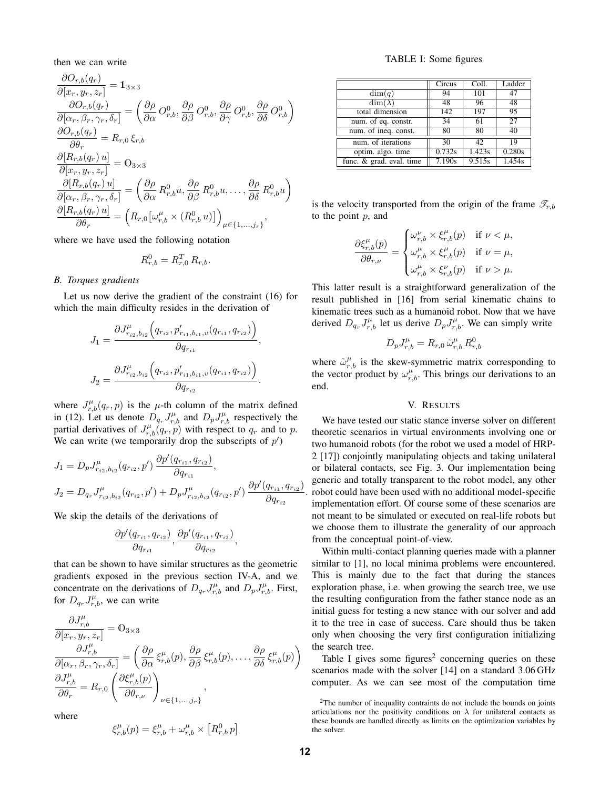then we can write

$$
\frac{\partial O_{r,b}(q_r)}{\partial [x_r, y_r, z_r]} = \mathbb{1}_{3 \times 3}
$$
\n
$$
\frac{\partial O_{r,b}(q_r)}{\partial [\alpha_r, \beta_r, \gamma_r, \delta_r]} = \left(\frac{\partial \rho}{\partial \alpha} O_{r,b}^0, \frac{\partial \rho}{\partial \beta} O_{r,b}^0, \frac{\partial \rho}{\partial \gamma} O_{r,b}^0, \frac{\partial \rho}{\partial \delta} O_{r,b}^0\right)
$$
\n
$$
\frac{\partial O_{r,b}(q_r)}{\partial \theta_r} = R_{r,0} \xi_{r,b}
$$
\n
$$
\frac{\partial [R_{r,b}(q_r) u]}{\partial [x_r, y_r, z_r]} = \mathbb{0}_{3 \times 3}
$$
\n
$$
\frac{\partial [R_{r,b}(q_r) u]}{\partial [\alpha_r, \beta_r, \gamma_r, \delta_r]} = \left(\frac{\partial \rho}{\partial \alpha} R_{r,b}^0 u, \frac{\partial \rho}{\partial \beta} R_{r,b}^0 u, \dots, \frac{\partial \rho}{\partial \delta} R_{r,b}^0 u\right)
$$
\n
$$
\frac{\partial [R_{r,b}(q_r) u]}{\partial \theta_r} = \left(R_{r,0} \left[\omega_{r,b}^{\mu} \times (R_{r,b}^0 u)\right]\right)_{\mu \in \{1, \dots, j_r\}},
$$

where we have used the following notation

$$
R_{r,b}^0 = R_{r,0}^T R_{r,b}.
$$

# *B. Torques gradients*

Let us now derive the gradient of the constraint (16) for which the main difficulty resides in the derivation of

$$
J_1 = \frac{\partial J_{r_{i2},b_{i2}}^{\mu} \left(q_{r_{i2}}, p'_{r_{i1},b_{i1},v}(q_{r_{i1}}, q_{r_{i2}})\right)}{\partial q_{r_{i1}}},
$$

$$
J_2 = \frac{\partial J_{r_{i2},b_{i2}}^{\mu} \left(q_{r_{i2}}, p'_{r_{i1},b_{i1},v}(q_{r_{i1}}, q_{r_{i2}})\right)}{\partial q_{r_{i2}}}.
$$

where  $J_{r,b}^{\mu}(q_r, p)$  is the  $\mu$ -th column of the matrix defined in (12). Let us denote  $D_{q_r} J_{r,b}^{\mu}$  and  $D_p J_{r,b}^{\mu}$  respectively the partial derivatives of  $J_{r,b}^{\mu}(q_r, p)$  with respect to  $q_r$  and to p. We can write (we temporarily drop the subscripts of  $p'$ )

$$
J_1 = D_p J_{r_{i2},b_{i2}}^{\mu}(q_{r_{i2}}, p') \frac{\partial p'(q_{r_{i1}}, q_{r_{i2}})}{\partial q_{r_{i1}}},
$$
  
\n
$$
J_2 = D_{q_r} J_{r_{i2},b_{i2}}^{\mu}(q_{r_{i2}}, p') + D_p J_{r_{i2},b_{i2}}^{\mu}(q_{r_{i2}}, p') \frac{\partial p'(q_{r_{i1}}, q_{r_{i2}})}{\partial q_{r_{i2}}}.
$$

We skip the details of the derivations of

$$
\frac{\partial p'(q_{r_{i1}}, q_{r_{i2}})}{\partial q_{r_{i1}}}, \frac{\partial p'(q_{r_{i1}}, q_{r_{i2}})}{\partial q_{r_{i2}}},
$$

that can be shown to have similar structures as the geometric gradients exposed in the previous section IV-A, and we concentrate on the derivations of  $D_{q_r} J_{r,b}^{\mu}$  and  $D_p J_{r,b}^{\mu}$ . First, for  $D_{q_r} J_{r,b}^{\mu}$ , we can write

$$
\frac{\partial J^{\mu}_{r,b}}{\partial [x_r, y_r, z_r]} = \mathbf{0}_{3 \times 3} \n\frac{\partial J^{\mu}_{r,b}}{\partial [\alpha_r, \beta_r, \gamma_r, \delta_r]} = \left( \frac{\partial \rho}{\partial \alpha} \xi^{\mu}_{r,b}(p), \frac{\partial \rho}{\partial \beta} \xi^{\mu}_{r,b}(p), \dots, \frac{\partial \rho}{\partial \delta} \xi^{\mu}_{r,b}(p) \right) \n\frac{\partial J^{\mu}_{r,b}}{\partial \theta_r} = R_{r,0} \left( \frac{\partial \xi^{\mu}_{r,b}(p)}{\partial \theta_{r,\nu}} \right)_{\nu \in \{1, \dots, j_r\}},
$$

where

$$
\xi_{r,b}^{\mu}(p) = \xi_{r,b}^{\mu} + \omega_{r,b}^{\mu} \times [R_{r,b}^{0} p]
$$

1

TABLE I: Some figures

|                          | Circus | Coll.  | Ladder |
|--------------------------|--------|--------|--------|
| dim(q)                   | 94     | 101    | 47     |
| $\dim(\lambda)$          | 48     | 96     | 48     |
| total dimension          | 142    | 197    | 95     |
| num. of eq. constr.      | 34     | 61     | 27     |
| num. of ineq. const.     | 80     | 80     | 40     |
| num. of iterations       | 30     | 42     | 19     |
| optim. algo. time        | 0.732s | 1.423s | 0.280s |
| func. & grad. eval. time | 7.190s | 9.515s | 1.454s |

is the velocity transported from the origin of the frame  $\mathscr{T}_{r,b}$ to the point  $p$ , and

$$
\frac{\partial \xi_{r,b}^\mu(p)}{\partial \theta_{r,\nu}} = \begin{cases} \omega_{r,b}^\nu \times \xi_{r,b}^\mu(p) & \text{if } \nu < \mu, \\ \omega_{r,b}^\mu \times \xi_{r,b}^\mu(p) & \text{if } \nu = \mu, \\ \omega_{r,b}^\mu \times \xi_{r,b}^\nu(p) & \text{if } \nu > \mu. \end{cases}
$$

This latter result is a straightforward generalization of the result published in [16] from serial kinematic chains to kinematic trees such as a humanoid robot. Now that we have derived  $D_{q_r} J_{r,b}^{\mu}$  let us derive  $D_p J_{r,b}^{\mu}$ . We can simply write

$$
D_p J_{r,b}^{\mu} = R_{r,0} \, \tilde{\omega}_{r,b}^{\mu} \, R_{r,b}^0
$$

where  $\tilde{\omega}_{r,b}^{\mu}$  is the skew-symmetric matrix corresponding to the vector product by  $\omega_{r,b}^{\mu}$ . This brings our derivations to an end.

## V. RESULTS

We have tested our static stance inverse solver on different theoretic scenarios in virtual environments involving one or two humanoid robots (for the robot we used a model of HRP-2 [17]) conjointly manipulating objects and taking unilateral or bilateral contacts, see Fig. 3. Our implementation being generic and totally transparent to the robot model, any other robot could have been used with no additional model-specific implementation effort. Of course some of these scenarios are not meant to be simulated or executed on real-life robots but we choose them to illustrate the generality of our approach from the conceptual point-of-view.

Within multi-contact planning queries made with a planner similar to [1], no local minima problems were encountered. This is mainly due to the fact that during the stances exploration phase, i.e. when growing the search tree, we use the resulting configuration from the father stance node as an initial guess for testing a new stance with our solver and add it to the tree in case of success. Care should thus be taken only when choosing the very first configuration initializing the search tree.

Table I gives some figures<sup>2</sup> concerning queries on these scenarios made with the solver [14] on a standard 3.06 GHz computer. As we can see most of the computation time

<sup>2</sup>The number of inequality contraints do not include the bounds on joints articulations nor the positivity conditions on  $\lambda$  for unilateral contacts as these bounds are handled directly as limits on the optimization variables by the solver.